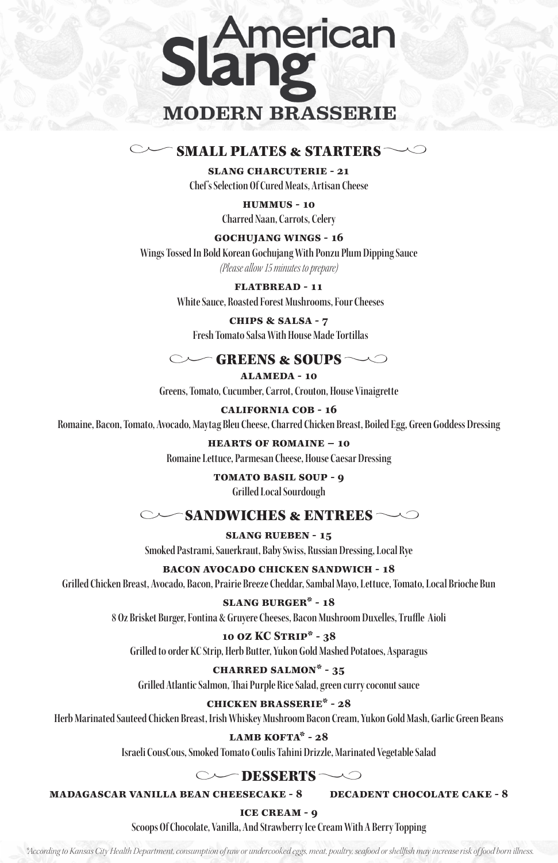

# **SMALL PLATES & STARTERS**  $\sim$

**slang charcuterie - 21 Chef's Selection Of Cured Meats, Artisan Cheese**

> **hummus - 10 Charred Naan, Carrots, Celery**

**fLATBREAD - 11 White Sauce, Roasted Forest Mushrooms, Four Cheeses**

**gochujang wings - 16 Wings Tossed In Bold Korean Gochujang With Ponzu Plum Dipping Sauce** *(Please allow 15 minutes to prepare)* 

> **chips & salsa - 7 Fresh Tomato Salsa With House Made Tortillas**

# **GREENS & SOUPS**  $\sim$  $\sim$

**alameda - 10 Greens, Tomato, Cucumber, Carrot, Crouton, House Vinaigrette**

**california cob - 16 Romaine, Bacon, Tomato, Avocado, Maytag Bleu Cheese, Charred Chicken Breast, Boiled Egg, Green Goddess Dressing**

> **hearts of romaine – 10 Romaine Lettuce, Parmesan Cheese, House Caesar Dressing**

> > **tomato basil soup - 9 Grilled Local Sourdough**

# $\sim$ SANDWICHES & ENTREES

**slang rueben - 15**

**Smoked Pastrami, Sauerkraut, Baby Swiss, Russian Dressing, Local Rye**

**bacon avocado chicken sandwich - 18**

**Grilled Chicken Breast, Avocado, Bacon, Prairie Breeze Cheddar, Sambal Mayo, Lettuce, Tomato, Local Brioche Bun**

# **slang burger\* - 18**

**8 Oz Brisket Burger, Fontina & Gruyere Cheeses, Bacon Mushroom Duxelles, Truffle Aioli** 

# **10 oz KC Strip\* - 38**

**Grilled to order KC Strip, Herb Butter, Yukon Gold Mashed Potatoes, Asparagus**

# **charred salmon\* - 35**

**Grilled Atlantic Salmon, Thai Purple Rice Salad, green curry coconut sauce**

# **chicken brasserie\* - 28**

**Herb Marinated Sauteed Chicken Breast, Irish Whiskey Mushroom Bacon Cream, Yukon Gold Mash, Garlic Green Beans**

# **lamb kofta\* - 28**

**Israeli CousCous, Smoked Tomato Coulis Tahini Drizzle, Marinated Vegetable Salad** 

# DESSERTS ~~  $\sim$

# **madagascar vanilla bean cheesecake - 8 decadent chocolate cake - 8**

# **ice cream - 9**

**Scoops Of Chocolate, Vanilla, And Strawberry Ice Cream With A Berry Topping** 

 *\*According to Kansas City Health Department, consumption of raw or undercooked eggs, meat, poultry, seafood or shellfish may increase risk of food born illness.*